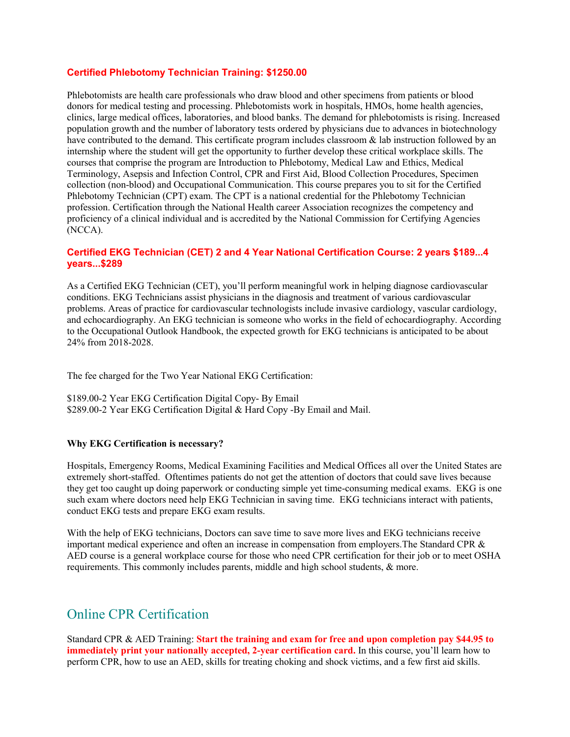### **Certified Phlebotomy Technician Training: \$1250.00**

Phlebotomists are health care professionals who draw blood and other specimens from patients or blood donors for medical testing and processing. Phlebotomists work in hospitals, HMOs, home health agencies, clinics, large medical offices, laboratories, and blood banks. The demand for phlebotomists is rising. Increased population growth and the number of laboratory tests ordered by physicians due to advances in biotechnology have contributed to the demand. This certificate program includes classroom & lab instruction followed by an internship where the student will get the opportunity to further develop these critical workplace skills. The courses that comprise the program are Introduction to Phlebotomy, Medical Law and Ethics, Medical Terminology, Asepsis and Infection Control, CPR and First Aid, Blood Collection Procedures, Specimen collection (non-blood) and Occupational Communication. This course prepares you to sit for the Certified Phlebotomy Technician (CPT) exam. The CPT is a national credential for the Phlebotomy Technician profession. Certification through the National Health career Association recognizes the competency and proficiency of a clinical individual and is accredited by the National Commission for Certifying Agencies (NCCA).

### **Certified EKG Technician (CET) 2 and 4 Year National Certification Course: 2 years \$189...4 years...\$289**

As a Certified EKG Technician (CET), you'll perform meaningful work in helping diagnose cardiovascular conditions. EKG Technicians assist physicians in the diagnosis and treatment of various cardiovascular problems. Areas of practice for cardiovascular technologists include invasive cardiology, vascular cardiology, and echocardiography. An EKG technician is someone who works in the field of echocardiography. According to the Occupational Outlook Handbook, the expected growth for EKG technicians is anticipated to be about 24% from 2018-2028.

The fee charged for the Two Year National EKG Certification:

\$189.00-2 Year EKG Certification Digital Copy- By Email \$289.00-2 Year EKG Certification Digital & Hard Copy -By Email and Mail.

#### **Why EKG Certification is necessary?**

Hospitals, Emergency Rooms, Medical Examining Facilities and Medical Offices all over the United States are extremely short-staffed. Oftentimes patients do not get the attention of doctors that could save lives because they get too caught up doing paperwork or conducting simple yet time-consuming medical exams. EKG is one such exam where doctors need help EKG Technician in saving time. EKG technicians interact with patients, conduct EKG tests and prepare EKG exam results.

With the help of EKG technicians, Doctors can save time to save more lives and EKG technicians receive important medical experience and often an increase in compensation from employers.The Standard CPR & AED course is a general workplace course for those who need CPR certification for their job or to meet OSHA requirements. This commonly includes parents, middle and high school students, & more.

# Online CPR Certification

Standard CPR & AED Training: **Start the training and exam for free and upon completion pay \$44.95 to immediately print your nationally accepted, 2-year certification card.** In this course, you'll learn how to perform CPR, how to use an AED, skills for treating choking and shock victims, and a few first aid skills.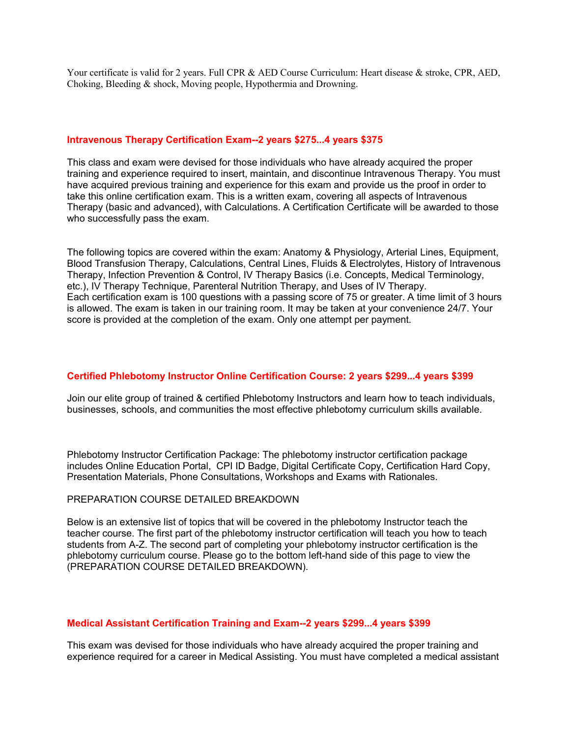Your certificate is valid for 2 years. Full CPR & AED Course Curriculum: Heart disease & stroke, CPR, AED, Choking, Bleeding & shock, Moving people, Hypothermia and Drowning.

#### **Intravenous Therapy Certification Exam--2 years \$275...4 years \$375**

This class and exam were devised for those individuals who have already acquired the proper training and experience required to insert, maintain, and discontinue Intravenous Therapy. You must have acquired previous training and experience for this exam and provide us the proof in order to take this online certification exam. This is a written exam, covering all aspects of Intravenous Therapy (basic and advanced), with Calculations. A Certification Certificate will be awarded to those who successfully pass the exam.

The following topics are covered within the exam: Anatomy & Physiology, Arterial Lines, Equipment, Blood Transfusion Therapy, Calculations, Central Lines, Fluids & Electrolytes, History of Intravenous Therapy, Infection Prevention & Control, IV Therapy Basics (i.e. Concepts, Medical Terminology, etc.), IV Therapy Technique, Parenteral Nutrition Therapy, and Uses of IV Therapy. Each certification exam is 100 questions with a passing score of 75 or greater. A time limit of 3 hours is allowed. The exam is taken in our training room. It may be taken at your convenience 24/7. Your score is provided at the completion of the exam. Only one attempt per payment.

#### **Certified Phlebotomy Instructor Online Certification Course: 2 years \$299...4 years \$399**

Join our elite group of trained & certified Phlebotomy Instructors and learn how to teach individuals, businesses, schools, and communities the most effective phlebotomy curriculum skills available.

Phlebotomy Instructor Certification Package: The phlebotomy instructor certification package includes Online Education Portal, CPI ID Badge, Digital Certificate Copy, Certification Hard Copy, Presentation Materials, Phone Consultations, Workshops and Exams with Rationales.

#### PREPARATION COURSE DETAILED BREAKDOWN

Below is an extensive list of topics that will be covered in the phlebotomy Instructor teach the teacher course. The first part of the phlebotomy instructor certification will teach you how to teach students from A-Z. The second part of completing your phlebotomy instructor certification is the phlebotomy curriculum course. Please go to the bottom left-hand side of this page to view the (PREPARATION COURSE DETAILED BREAKDOWN).

#### **Medical Assistant Certification Training and Exam--2 years \$299...4 years \$399**

This exam was devised for those individuals who have already acquired the proper training and experience required for a career in Medical Assisting. You must have completed a medical assistant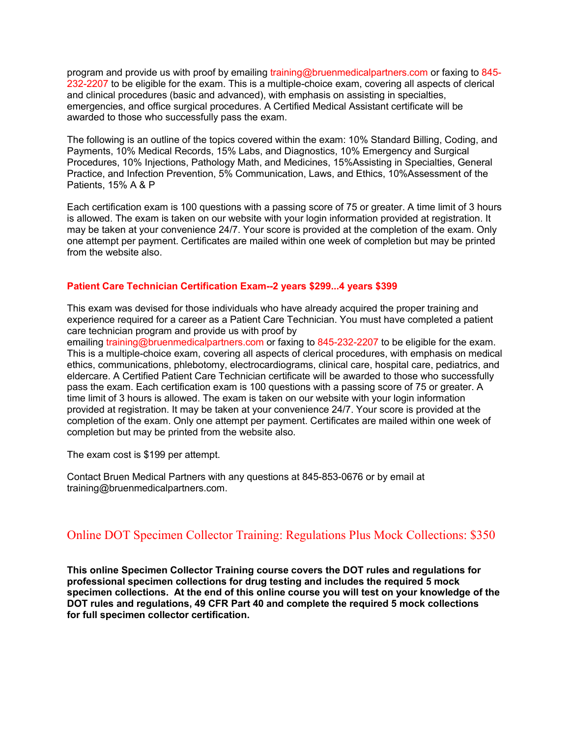program and provide us with proof by emailing training@bruenmedicalpartners.com or faxing to 845- 232-2207 to be eligible for the exam. This is a multiple-choice exam, covering all aspects of clerical and clinical procedures (basic and advanced), with emphasis on assisting in specialties, emergencies, and office surgical procedures. A Certified Medical Assistant certificate will be awarded to those who successfully pass the exam.

The following is an outline of the topics covered within the exam: 10% Standard Billing, Coding, and Payments, 10% Medical Records, 15% Labs, and Diagnostics, 10% Emergency and Surgical Procedures, 10% Injections, Pathology Math, and Medicines, 15%Assisting in Specialties, General Practice, and Infection Prevention, 5% Communication, Laws, and Ethics, 10%Assessment of the Patients, 15% A & P

Each certification exam is 100 questions with a passing score of 75 or greater. A time limit of 3 hours is allowed. The exam is taken on our website with your login information provided at registration. It may be taken at your convenience 24/7. Your score is provided at the completion of the exam. Only one attempt per payment. Certificates are mailed within one week of completion but may be printed from the website also.

## **Patient Care Technician Certification Exam--2 years \$299...4 years \$399**

This exam was devised for those individuals who have already acquired the proper training and experience required for a career as a Patient Care Technician. You must have completed a patient care technician program and provide us with proof by

emailing training@bruenmedicalpartners.com or faxing to 845-232-2207 to be eligible for the exam. This is a multiple-choice exam, covering all aspects of clerical procedures, with emphasis on medical ethics, communications, phlebotomy, electrocardiograms, clinical care, hospital care, pediatrics, and eldercare. A Certified Patient Care Technician certificate will be awarded to those who successfully pass the exam. Each certification exam is 100 questions with a passing score of 75 or greater. A time limit of 3 hours is allowed. The exam is taken on our website with your login information provided at registration. It may be taken at your convenience 24/7. Your score is provided at the completion of the exam. Only one attempt per payment. Certificates are mailed within one week of completion but may be printed from the website also.

The exam cost is \$199 per attempt.

Contact Bruen Medical Partners with any questions at 845-853-0676 or by email at training@bruenmedicalpartners.com.

# Online DOT Specimen Collector Training: Regulations Plus Mock Collections: \$350

**This online Specimen Collector Training course covers the DOT rules and regulations for professional specimen collections for drug testing and includes the required 5 mock specimen collections. At the end of this online course you will test on your knowledge of the DOT rules and regulations, 49 CFR Part 40 and complete the required 5 mock collections for full specimen collector certification.**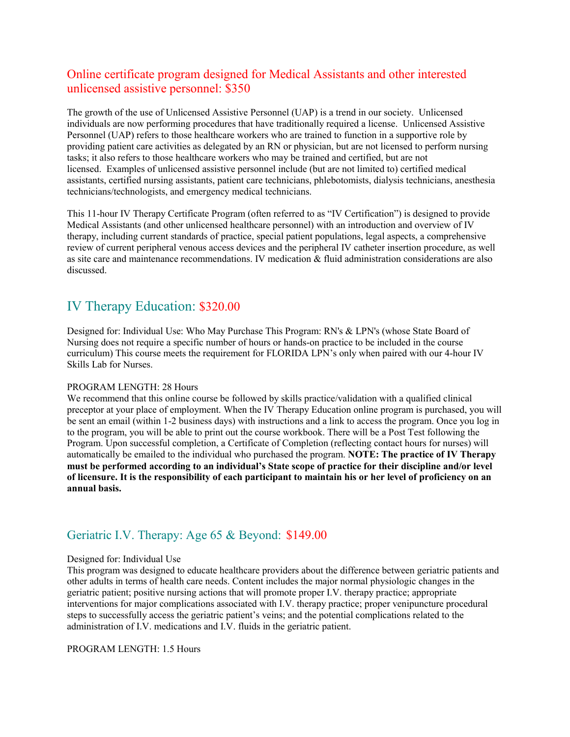# Online certificate program designed for Medical Assistants and other interested unlicensed assistive personnel: \$350

The growth of the use of Unlicensed Assistive Personnel (UAP) is a trend in our society. Unlicensed individuals are now performing procedures that have traditionally required a license. Unlicensed Assistive Personnel (UAP) refers to those healthcare workers who are trained to function in a supportive role by providing patient care activities as delegated by an RN or physician, but are not licensed to perform nursing tasks; it also refers to those healthcare workers who may be trained and certified, but are not licensed. Examples of unlicensed assistive personnel include (but are not limited to) certified medical assistants, certified nursing assistants, patient care technicians, phlebotomists, dialysis technicians, anesthesia technicians/technologists, and emergency medical technicians.

This 11-hour IV Therapy Certificate Program (often referred to as "IV Certification") is designed to provide Medical Assistants (and other unlicensed healthcare personnel) with an introduction and overview of IV therapy, including current standards of practice, special patient populations, legal aspects, a comprehensive review of current peripheral venous access devices and the peripheral IV catheter insertion procedure, as well as site care and maintenance recommendations. IV medication & fluid administration considerations are also discussed.

# IV Therapy Education: \$320.00

Designed for: Individual Use: Who May Purchase This Program: RN's & LPN's (whose State Board of Nursing does not require a specific number of hours or hands-on practice to be included in the course curriculum) This course meets the requirement for FLORIDA LPN's only when paired with our 4-hour IV Skills Lab for Nurses.

## PROGRAM LENGTH: 28 Hours

We recommend that this online course be followed by skills practice/validation with a qualified clinical preceptor at your place of employment. When the IV Therapy Education online program is purchased, you will be sent an email (within 1-2 business days) with instructions and a link to access the program. Once you log in to the program, you will be able to print out the course workbook. There will be a Post Test following the Program. Upon successful completion, a Certificate of Completion (reflecting contact hours for nurses) will automatically be emailed to the individual who purchased the program. **NOTE: The practice of IV Therapy must be performed according to an individual's State scope of practice for their discipline and/or level of licensure. It is the responsibility of each participant to maintain his or her level of proficiency on an annual basis.**

# Geriatric I.V. Therapy: Age 65 & Beyond: \$149.00

## Designed for: Individual Use

This program was designed to educate healthcare providers about the difference between geriatric patients and other adults in terms of health care needs. Content includes the major normal physiologic changes in the geriatric patient; positive nursing actions that will promote proper I.V. therapy practice; appropriate interventions for major complications associated with I.V. therapy practice; proper venipuncture procedural steps to successfully access the geriatric patient's veins; and the potential complications related to the administration of I.V. medications and I.V. fluids in the geriatric patient.

PROGRAM LENGTH: 1.5 Hours